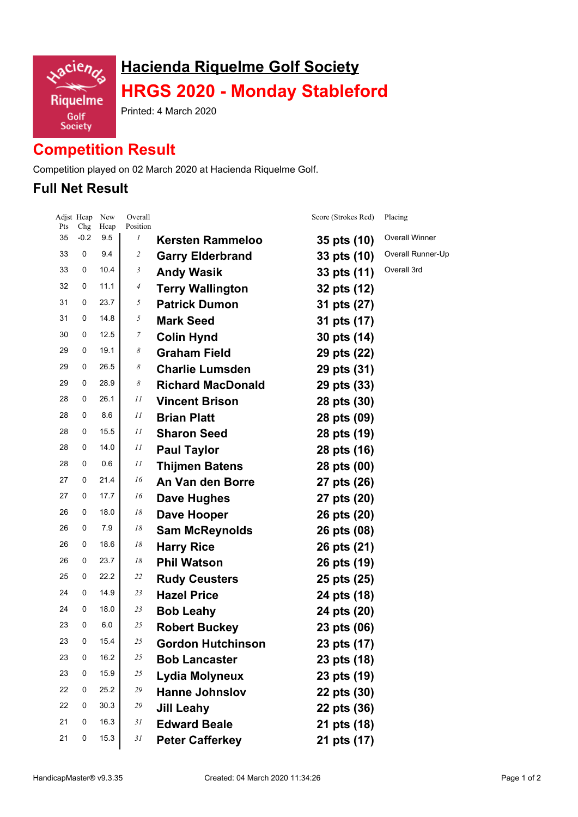

# **Hacienda Riquelme Golf Society HRGS 2020 - Monday Stableford**

Printed: 4 March 2020

# **Competition Result**

Competition played on 02 March 2020 at Hacienda Riquelme Golf.

### **Full Net Result**

| Pts | Adjst Heap<br>Chg | New<br>Hcap | Overall<br>Position |                          | Score (Strokes Rcd) | Placing           |
|-----|-------------------|-------------|---------------------|--------------------------|---------------------|-------------------|
| 35  | $-0.2$            | 9.5         | 1                   | <b>Kersten Rammeloo</b>  | 35 pts (10)         | Overall Winner    |
| 33  | 0                 | 9.4         | 2                   | <b>Garry Elderbrand</b>  | 33 pts (10)         | Overall Runner-Up |
| 33  | 0                 | 10.4        | 3                   | <b>Andy Wasik</b>        | 33 pts (11)         | Overall 3rd       |
| 32  | 0                 | 11.1        | 4                   | <b>Terry Wallington</b>  | 32 pts (12)         |                   |
| 31  | 0                 | 23.7        | 5                   | <b>Patrick Dumon</b>     | 31 pts (27)         |                   |
| 31  | 0                 | 14.8        | 5                   | <b>Mark Seed</b>         | 31 pts (17)         |                   |
| 30  | 0                 | 12.5        | 7                   | <b>Colin Hynd</b>        | 30 pts (14)         |                   |
| 29  | 0                 | 19.1        | 8                   | <b>Graham Field</b>      | 29 pts (22)         |                   |
| 29  | 0                 | 26.5        | 8                   | <b>Charlie Lumsden</b>   | 29 pts (31)         |                   |
| 29  | 0                 | 28.9        | 8                   | <b>Richard MacDonald</b> | 29 pts (33)         |                   |
| 28  | 0                 | 26.1        | 11                  | <b>Vincent Brison</b>    | 28 pts (30)         |                   |
| 28  | 0                 | 8.6         | 11                  | <b>Brian Platt</b>       | 28 pts (09)         |                   |
| 28  | 0                 | 15.5        | 11                  | <b>Sharon Seed</b>       | 28 pts (19)         |                   |
| 28  | 0                 | 14.0        | 11                  | <b>Paul Taylor</b>       | 28 pts (16)         |                   |
| 28  | 0                 | 0.6         | 11                  | <b>Thijmen Batens</b>    | 28 pts (00)         |                   |
| 27  | 0                 | 21.4        | 16                  | An Van den Borre         | 27 pts (26)         |                   |
| 27  | 0                 | 17.7        | 16                  | Dave Hughes              | 27 pts (20)         |                   |
| 26  | 0                 | 18.0        | 18                  | Dave Hooper              | 26 pts (20)         |                   |
| 26  | 0                 | 7.9         | 18                  | <b>Sam McReynolds</b>    | 26 pts (08)         |                   |
| 26  | 0                 | 18.6        | 18                  | <b>Harry Rice</b>        | 26 pts (21)         |                   |
| 26  | 0                 | 23.7        | 18                  | <b>Phil Watson</b>       | 26 pts (19)         |                   |
| 25  | 0                 | 22.2        | 22                  | <b>Rudy Ceusters</b>     | 25 pts (25)         |                   |
| 24  | 0                 | 14.9        | 23                  | <b>Hazel Price</b>       | 24 pts (18)         |                   |
| 24  | 0                 | 18.0        | 23                  | <b>Bob Leahy</b>         | 24 pts (20)         |                   |
| 23  | 0                 | 6.0         | 25                  | <b>Robert Buckey</b>     | 23 pts (06)         |                   |
| 23  | 0                 | 15.4        | 25                  | Gordon Hutchinson        | 23 pts (17)         |                   |
| 23  | 0                 | 16.2        | 25                  | <b>Bob Lancaster</b>     | 23 pts (18)         |                   |
| 23  | 0                 | 15.9        | 25                  | Lydia Molyneux           | 23 pts (19)         |                   |
| 22  | 0                 | 25.2        | 29                  | <b>Hanne Johnslov</b>    | 22 pts (30)         |                   |
| 22  | 0                 | 30.3        | 29                  | <b>Jill Leahy</b>        | 22 pts (36)         |                   |
| 21  | 0                 | 16.3        | 31                  | <b>Edward Beale</b>      | 21 pts (18)         |                   |
| 21  | 0                 | 15.3        | 31                  | <b>Peter Cafferkey</b>   | 21 pts (17)         |                   |